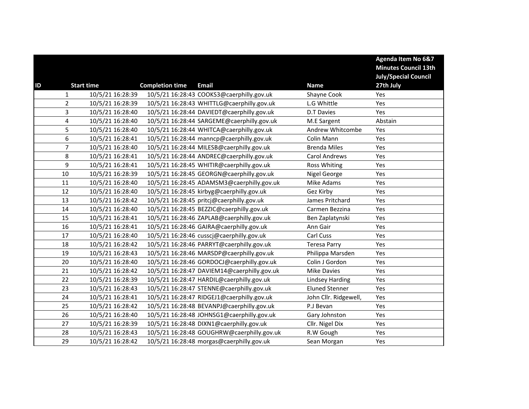|    |                |                   |                        |                                             |                        | <b>Agenda Item No 6&amp;7</b><br><b>Minutes Council 13th</b> |
|----|----------------|-------------------|------------------------|---------------------------------------------|------------------------|--------------------------------------------------------------|
|    |                |                   |                        |                                             |                        | <b>July/Special Council</b>                                  |
| ID |                | <b>Start time</b> | <b>Completion time</b> | <b>Email</b>                                | <b>Name</b>            | 27th July                                                    |
|    | $\mathbf{1}$   | 10/5/21 16:28:39  |                        | 10/5/21 16:28:43 COOKS3@caerphilly.gov.uk   | Shayne Cook            | Yes                                                          |
|    | $\overline{2}$ | 10/5/21 16:28:39  |                        | 10/5/21 16:28:43 WHITTLG@caerphilly.gov.uk  | L.G Whittle            | Yes                                                          |
|    | 3              | 10/5/21 16:28:40  |                        | 10/5/21 16:28:44 DAVIEDT@caerphilly.gov.uk  | <b>D.T Davies</b>      | Yes                                                          |
|    | 4              | 10/5/21 16:28:40  |                        | 10/5/21 16:28:44 SARGEME@caerphilly.gov.uk  | M.E Sargent            | Abstain                                                      |
|    | 5              | 10/5/21 16:28:40  |                        | 10/5/21 16:28:44 WHITCA@caerphilly.gov.uk   | Andrew Whitcombe       | Yes                                                          |
|    | 6              | 10/5/21 16:28:41  |                        | 10/5/21 16:28:44 manncp@caerphilly.gov.uk   | Colin Mann             | Yes                                                          |
|    | $\overline{7}$ | 10/5/21 16:28:40  |                        | 10/5/21 16:28:44 MILESB@caerphilly.gov.uk   | <b>Brenda Miles</b>    | Yes                                                          |
|    | 8              | 10/5/21 16:28:41  |                        | 10/5/21 16:28:44 ANDREC@caerphilly.gov.uk   | <b>Carol Andrews</b>   | Yes                                                          |
|    | 9              | 10/5/21 16:28:41  |                        | 10/5/21 16:28:45 WHITIR@caerphilly.gov.uk   | Ross Whiting           | Yes                                                          |
|    | $10\,$         | 10/5/21 16:28:39  |                        | 10/5/21 16:28:45 GEORGN@caerphilly.gov.uk   | Nigel George           | Yes                                                          |
|    | 11             | 10/5/21 16:28:40  |                        | 10/5/21 16:28:45 ADAMSM3@caerphilly.gov.uk  | Mike Adams             | Yes                                                          |
|    | 12             | 10/5/21 16:28:40  |                        | 10/5/21 16:28:45 kirbyg@caerphilly.gov.uk   | Gez Kirby              | Yes                                                          |
|    | 13             | 10/5/21 16:28:42  |                        | 10/5/21 16:28:45 pritcj@caerphilly.gov.uk   | James Pritchard        | Yes                                                          |
|    | 14             | 10/5/21 16:28:40  |                        | 10/5/21 16:28:45 BEZZIC@caerphilly.gov.uk   | Carmen Bezzina         | Yes                                                          |
|    | 15             | 10/5/21 16:28:41  |                        | 10/5/21 16:28:46 ZAPLAB@caerphilly.gov.uk   | Ben Zaplatynski        | Yes                                                          |
|    | 16             | 10/5/21 16:28:41  |                        | 10/5/21 16:28:46 GAIRA@caerphilly.gov.uk    | Ann Gair               | Yes                                                          |
|    | 17             | 10/5/21 16:28:40  |                        | 10/5/21 16:28:46 cusscj@caerphilly.gov.uk   | Carl Cuss              | Yes                                                          |
|    | 18             | 10/5/21 16:28:42  |                        | 10/5/21 16:28:46 PARRYT@caerphilly.gov.uk   | <b>Teresa Parry</b>    | Yes                                                          |
|    | 19             | 10/5/21 16:28:43  |                        | 10/5/21 16:28:46 MARSDP@caerphilly.gov.uk   | Philippa Marsden       | Yes                                                          |
|    | 20             | 10/5/21 16:28:40  |                        | 10/5/21 16:28:46 GORDOCJ@caerphilly.gov.uk  | Colin J Gordon         | Yes                                                          |
|    | 21             | 10/5/21 16:28:42  |                        | 10/5/21 16:28:47 DAVIEM14@caerphilly.gov.uk | <b>Mike Davies</b>     | Yes                                                          |
|    | 22             | 10/5/21 16:28:39  |                        | 10/5/21 16:28:47 HARDIL@caerphilly.gov.uk   | <b>Lindsey Harding</b> | Yes                                                          |
|    | 23             | 10/5/21 16:28:43  |                        | 10/5/21 16:28:47 STENNE@caerphilly.gov.uk   | <b>Eluned Stenner</b>  | Yes                                                          |
|    | 24             | 10/5/21 16:28:41  |                        | 10/5/21 16:28:47 RIDGEJ1@caerphilly.gov.uk  | John Cllr. Ridgewell,  | Yes                                                          |
|    | 25             | 10/5/21 16:28:42  |                        | 10/5/21 16:28:48 BEVANPJ@caerphilly.gov.uk  | P.J Bevan              | Yes                                                          |
|    | 26             | 10/5/21 16:28:40  |                        | 10/5/21 16:28:48 JOHNSG1@caerphilly.gov.uk  | Gary Johnston          | Yes                                                          |
|    | 27             | 10/5/21 16:28:39  |                        | 10/5/21 16:28:48 DIXN1@caerphilly.gov.uk    | Cllr. Nigel Dix        | Yes                                                          |
|    | 28             | 10/5/21 16:28:43  |                        | 10/5/21 16:28:48 GOUGHRW@caerphilly.gov.uk  | R.W Gough              | Yes                                                          |
|    | 29             | 10/5/21 16:28:42  |                        | 10/5/21 16:28:48 morgas@caerphilly.gov.uk   | Sean Morgan            | Yes                                                          |